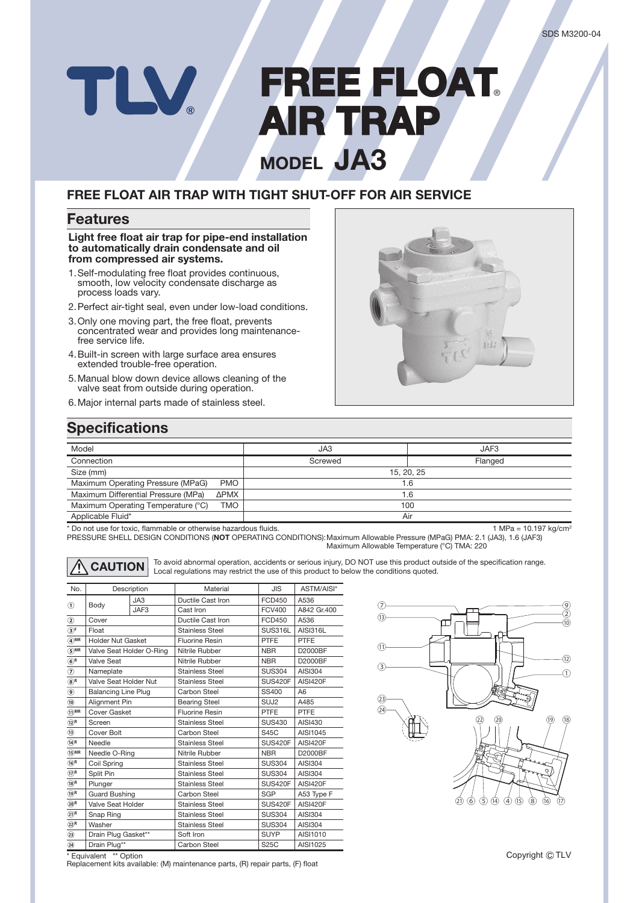# **FREE FLOAT** TLV **AIR TRAP IR MODEL JA3**

### **FREE FLOAT AIR TRAP WITH TIGHT SHUT-OFF FOR AIR SERVICE**

#### **Features**

**Light free float air trap for pipe-end installation to automatically drain condensate and oil from compressed air systems.**

- 1. Self-modulating free float provides continuous, smooth, low velocity condensate discharge as process loads vary.
- 2. Perfect air-tight seal, even under low-load conditions.
- 3. Only one moving part, the free float, prevents concentrated wear and provides long maintenancefree service life.
- 4. Built-in screen with large surface area ensures extended trouble-free operation.
- 5. Manual blow down device allows cleaning of the valve seat from outside during operation.
- 6. Major internal parts made of stainless steel.



## **Specifications**

| Model                                       | JA3        | JAF3    |  |  |
|---------------------------------------------|------------|---------|--|--|
| Connection                                  | Screwed    | Flanged |  |  |
| Size (mm)                                   | 15, 20, 25 |         |  |  |
| Maximum Operating Pressure (MPaG)<br>PMO    | 1.6        |         |  |  |
| Maximum Differential Pressure (MPa)<br>ΔΡΜΧ | 1.6        |         |  |  |
| Maximum Operating Temperature (°C)<br>TMO   | 100        |         |  |  |
| Applicable Fluid*                           | Air        |         |  |  |

\* Do not use for toxic, flammable or otherwise hazardous fluids. 1 MPa = 10.197 kg/cm<sup>2</sup> metals. 1 MPa = 10.197 kg/cm<sup>2</sup>

PRESSURE SHELL DESIGN CONDITIONS (**NOT** OPERATING CONDITIONS): Maximum Allowable Pressure (MPaG) PMA: 2.1 (JA3), 1.6 (JAF3) Maximum Allowable Temperature (°C) TMA: 220

**CAUTION** To avoid abnormal operation, accidents or serious injury, DO NOT use this product outside of the specification range. Local regulations may restrict the use of this product to below the conditions quoted.

| No.                                    | Description                |      | Material               | <b>JIS</b>       | ASTM/AISI*      |
|----------------------------------------|----------------------------|------|------------------------|------------------|-----------------|
| $\textcircled{\scriptsize{1}}$         |                            | JAS  | Ductile Cast Iron      | <b>FCD450</b>    | A536            |
|                                        | Body                       | JAF3 | Cast Iron              | <b>FCV400</b>    | A842 Gr.400     |
| ☺                                      | Cover                      |      | Ductile Cast Iron      | <b>FCD450</b>    | A536            |
| $\circledcirc$ F                       | Float                      |      | Stainless Steel        | SUS316L          | AISI316L        |
| $\overline{4}$ MR                      | <b>Holder Nut Gasket</b>   |      | <b>Fluorine Resin</b>  | <b>PTFE</b>      | PTFE            |
| $\odot$ MR                             | Valve Seat Holder O-Ring   |      | Nitrile Rubber         | <b>NBR</b>       | D2000BF         |
| $\circledast^{\mathsf{R}}$             | Valve Seat                 |      | Nitrile Rubber         | <b>NBR</b>       | D2000BF         |
| $\circledcirc$                         | Nameplate                  |      | <b>Stainless Steel</b> | <b>SUS304</b>    | <b>AISI304</b>  |
| $\circledS^{\mathsf{R}}$               | Valve Seat Holder Nut      |      | Stainless Steel        | <b>SUS420F</b>   | <b>AISI420F</b> |
| ◉                                      | <b>Balancing Line Plug</b> |      | Carbon Steel           | SS400            | A <sub>6</sub>  |
| $\circledcirc$                         | Alignment Pin              |      | <b>Bearing Steel</b>   | SUJ <sub>2</sub> | A485            |
| $\overline{11}$ MR                     | <b>Cover Gasket</b>        |      | <b>Fluorine Resin</b>  | <b>PTFE</b>      | <b>PTFE</b>     |
| $\widehat{12}$ <sup>R</sup>            | Screen                     |      | Stainless Steel        | <b>SUS430</b>    | AISI430         |
| $\circled{1}$                          | Cover Bolt                 |      | Carbon Steel           | <b>S45C</b>      | AISI1045        |
| $\bigcirc$ <sup>R</sup>                | Needle                     |      | Stainless Steel        | <b>SUS420F</b>   | <b>AISI420F</b> |
| $\bigcirc$ MR                          | Needle O-Ring              |      | Nitrile Rubber         | <b>NBR</b>       | D2000BF         |
| $\bigcirc$ <sub>R</sub>                | Coil Spring                |      | <b>Stainless Steel</b> | <b>SUS304</b>    | AISI304         |
| $\widehat{(\mathcal{V})}^{\mathsf{R}}$ | Split Pin                  |      | <b>Stainless Steel</b> | <b>SUS304</b>    | <b>AISI304</b>  |
| $(18)$ R                               | Plunger                    |      | Stainless Steel        | <b>SUS420F</b>   | <b>AISI420F</b> |
| $\widehat{19}^R$                       | <b>Guard Bushing</b>       |      | Carbon Steel           | <b>SGP</b>       | A53 Type F      |
| $\circledcirc$ R                       | Valve Seat Holder          |      | Stainless Steel        | <b>SUS420F</b>   | <b>AISI420F</b> |
| $(2)$ <sup>R</sup>                     | Snap Ring                  |      | <b>Stainless Steel</b> | <b>SUS304</b>    | <b>AISI304</b>  |
| $(2)$ R                                | Washer                     |      | <b>Stainless Steel</b> | <b>SUS304</b>    | <b>AISI304</b>  |
| $\circled{3}$                          | Drain Plug Gasket**        |      | Soft Iron              | <b>SUYP</b>      | AISI1010        |
| $\circled{2}$                          | Drain Plug**               |      | Carbon Steel           | <b>S25C</b>      | AISI1025        |



\* Equivalent \*\* Option Replacement kits available: (M) maintenance parts, (R) repair parts, (F) float